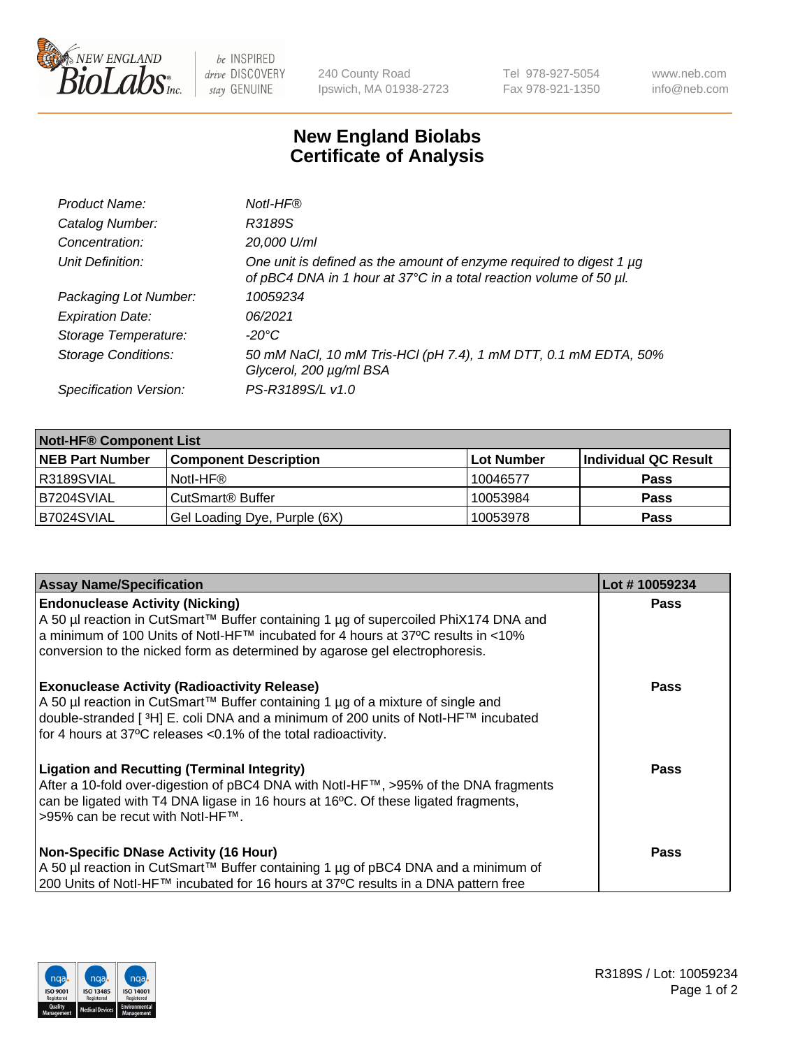

be INSPIRED drive DISCOVERY stay GENUINE

240 County Road Ipswich, MA 01938-2723 Tel 978-927-5054 Fax 978-921-1350 www.neb.com info@neb.com

## **New England Biolabs Certificate of Analysis**

| Product Name:              | Notl-HF®                                                                                                                                  |
|----------------------------|-------------------------------------------------------------------------------------------------------------------------------------------|
| Catalog Number:            | R3189S                                                                                                                                    |
| Concentration:             | 20,000 U/ml                                                                                                                               |
| Unit Definition:           | One unit is defined as the amount of enzyme required to digest 1 µg<br>of pBC4 DNA in 1 hour at 37°C in a total reaction volume of 50 µl. |
| Packaging Lot Number:      | 10059234                                                                                                                                  |
| <b>Expiration Date:</b>    | 06/2021                                                                                                                                   |
| Storage Temperature:       | $-20^{\circ}$ C                                                                                                                           |
| <b>Storage Conditions:</b> | 50 mM NaCl, 10 mM Tris-HCl (pH 7.4), 1 mM DTT, 0.1 mM EDTA, 50%<br>Glycerol, 200 µg/ml BSA                                                |
| Specification Version:     | PS-R3189S/L v1.0                                                                                                                          |

| <b>Notl-HF® Component List</b> |                              |            |                      |  |  |
|--------------------------------|------------------------------|------------|----------------------|--|--|
| <b>NEB Part Number</b>         | <b>Component Description</b> | Lot Number | Individual QC Result |  |  |
| R3189SVIAL                     | Notl-HF®                     | 10046577   | <b>Pass</b>          |  |  |
| B7204SVIAL                     | CutSmart <sup>®</sup> Buffer | 10053984   | <b>Pass</b>          |  |  |
| B7024SVIAL                     | Gel Loading Dye, Purple (6X) | 10053978   | <b>Pass</b>          |  |  |

| <b>Assay Name/Specification</b>                                                                                                                                                                                                                                                                 | Lot #10059234 |
|-------------------------------------------------------------------------------------------------------------------------------------------------------------------------------------------------------------------------------------------------------------------------------------------------|---------------|
| <b>Endonuclease Activity (Nicking)</b><br>A 50 µl reaction in CutSmart™ Buffer containing 1 µg of supercoiled PhiX174 DNA and                                                                                                                                                                   | <b>Pass</b>   |
| a minimum of 100 Units of Notl-HF™ incubated for 4 hours at 37°C results in <10%<br>conversion to the nicked form as determined by agarose gel electrophoresis.                                                                                                                                 |               |
| <b>Exonuclease Activity (Radioactivity Release)</b><br>A 50 µl reaction in CutSmart™ Buffer containing 1 µg of a mixture of single and<br> double-stranded [3H] E. coli DNA and a minimum of 200 units of Notl-HF™ incubated<br>for 4 hours at 37°C releases < 0.1% of the total radioactivity. | <b>Pass</b>   |
| <b>Ligation and Recutting (Terminal Integrity)</b><br>After a 10-fold over-digestion of pBC4 DNA with Notl-HF™, >95% of the DNA fragments<br>can be ligated with T4 DNA ligase in 16 hours at 16°C. Of these ligated fragments,<br>>95% can be recut with Notl-HF™.                             | <b>Pass</b>   |
| <b>Non-Specific DNase Activity (16 Hour)</b><br>A 50 µl reaction in CutSmart™ Buffer containing 1 µg of pBC4 DNA and a minimum of<br>200 Units of Notl-HF™ incubated for 16 hours at 37°C results in a DNA pattern free                                                                         | <b>Pass</b>   |